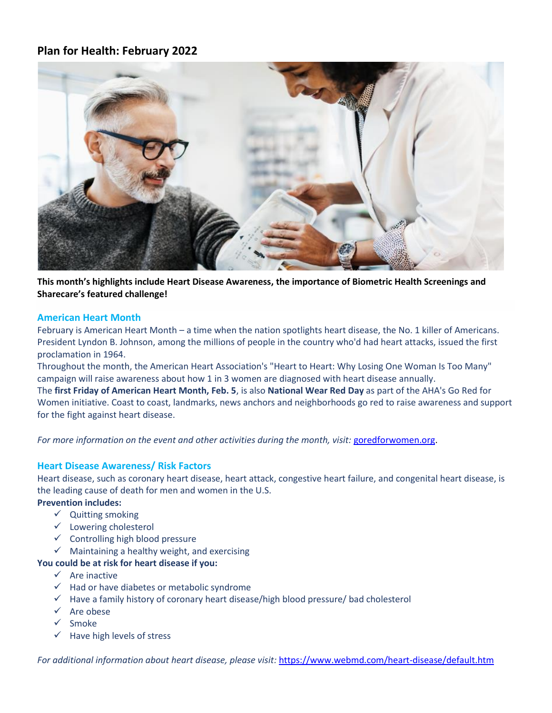# **Plan for Health: February 2022**



**This month's highlights include Heart Disease Awareness, the importance of Biometric Health Screenings and Sharecare's featured challenge!**

#### **American Heart Month**

February is American Heart Month – a time when the nation spotlights heart disease, the No. 1 killer of Americans. President Lyndon B. Johnson, among the millions of people in the country who'd had heart attacks, issued the first proclamation in 1964.

Throughout the month, the American Heart Association's "Heart to Heart: Why Losing One Woman Is Too Many" campaign will raise awareness about how 1 in 3 women are diagnosed with heart disease annually.

The **first Friday of American Heart Month, Feb. 5**, is also **National Wear Red Day** as part of the AHA's Go Red for Women initiative. Coast to coast, landmarks, news anchors and neighborhoods go red to raise awareness and support for the fight against heart disease.

For more information on the event and other activities during the month, visit: [goredforwomen.org.](https://www.goredforwomen.org/en)

### **Heart Disease Awareness/ Risk Factors**

Heart disease, such as coronary heart disease, heart attack, congestive heart failure, and congenital heart disease, is the leading cause of death for men and women in the U.S.

### **Prevention includes:**

- ✓ Quitting smoking
- ✓ Lowering cholesterol
- $\checkmark$  Controlling high blood pressure
- $\checkmark$  Maintaining a healthy weight, and exercising

### **You could be at risk for heart disease if you:**

- $\checkmark$  Are inactive
- $\checkmark$  Had or have diabetes or metabolic syndrome
- ✓ Have a family history of coronary heart disease/high blood pressure/ bad cholesterol
- ✓ Are obese
- ✓ Smoke
- $\checkmark$  Have high levels of stress

*For additional information about heart disease, please visit:* <https://www.webmd.com/heart-disease/default.htm>